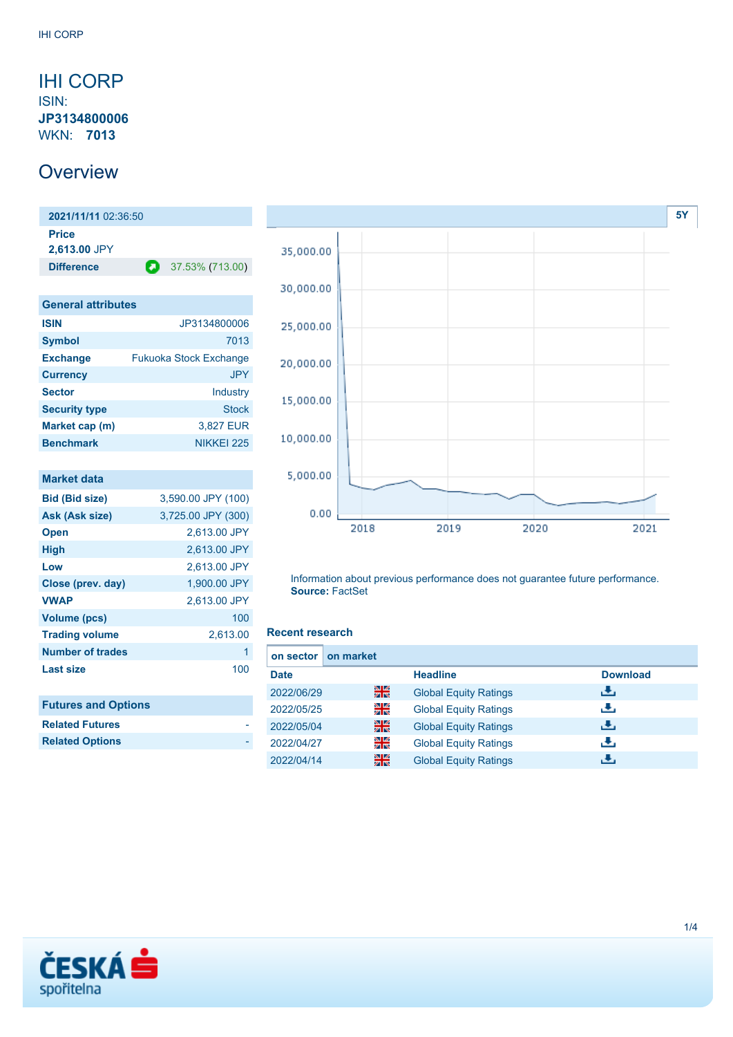### <span id="page-0-0"></span>IHI CORP

ISIN: **JP3134800006** WKN: **7013**

### **Overview**

**2021/11/11** 02:36:50 **Price 2,613.00** JPY **Difference** 37.53% (713.00)

| <b>General attributes</b> |                               |  |  |  |
|---------------------------|-------------------------------|--|--|--|
| <b>ISIN</b>               | JP3134800006                  |  |  |  |
| <b>Symbol</b>             | 7013                          |  |  |  |
| <b>Exchange</b>           | <b>Fukuoka Stock Exchange</b> |  |  |  |
| <b>Currency</b>           | JPY.                          |  |  |  |
| <b>Sector</b>             | Industry                      |  |  |  |
| <b>Security type</b>      | Stock                         |  |  |  |
| Market cap (m)            | 3,827 EUR                     |  |  |  |
| <b>Benchmark</b>          | NIKKEI 225                    |  |  |  |

| <b>Market data</b>         |                    |
|----------------------------|--------------------|
| <b>Bid (Bid size)</b>      | 3,590.00 JPY (100) |
| Ask (Ask size)             | 3,725.00 JPY (300) |
| <b>Open</b>                | 2,613.00 JPY       |
| <b>High</b>                | 2,613.00 JPY       |
| Low                        | 2,613.00 JPY       |
| Close (prev. day)          | 1,900.00 JPY       |
| <b>VWAP</b>                | 2,613.00 JPY       |
| <b>Volume (pcs)</b>        | 100                |
| <b>Trading volume</b>      | 2,613.00           |
| <b>Number of trades</b>    | 1                  |
| <b>Last size</b>           | 100                |
|                            |                    |
| <b>Futures and Options</b> |                    |
| <b>Related Futures</b>     |                    |
| <b>Related Options</b>     |                    |



Information about previous performance does not guarantee future performance. **Source:** FactSet

#### **Recent research**

| on market<br>on sector |   |                              |                 |
|------------------------|---|------------------------------|-----------------|
| <b>Date</b>            |   | <b>Headline</b>              | <b>Download</b> |
| 2022/06/29             | 噐 | <b>Global Equity Ratings</b> | ريان            |
| 2022/05/25             | 을 | <b>Global Equity Ratings</b> | æ,              |
| 2022/05/04             | 噐 | <b>Global Equity Ratings</b> | رنان            |
| 2022/04/27             | 을 | <b>Global Equity Ratings</b> | æ,              |
| 2022/04/14             | 噐 | <b>Global Equity Ratings</b> | راق             |

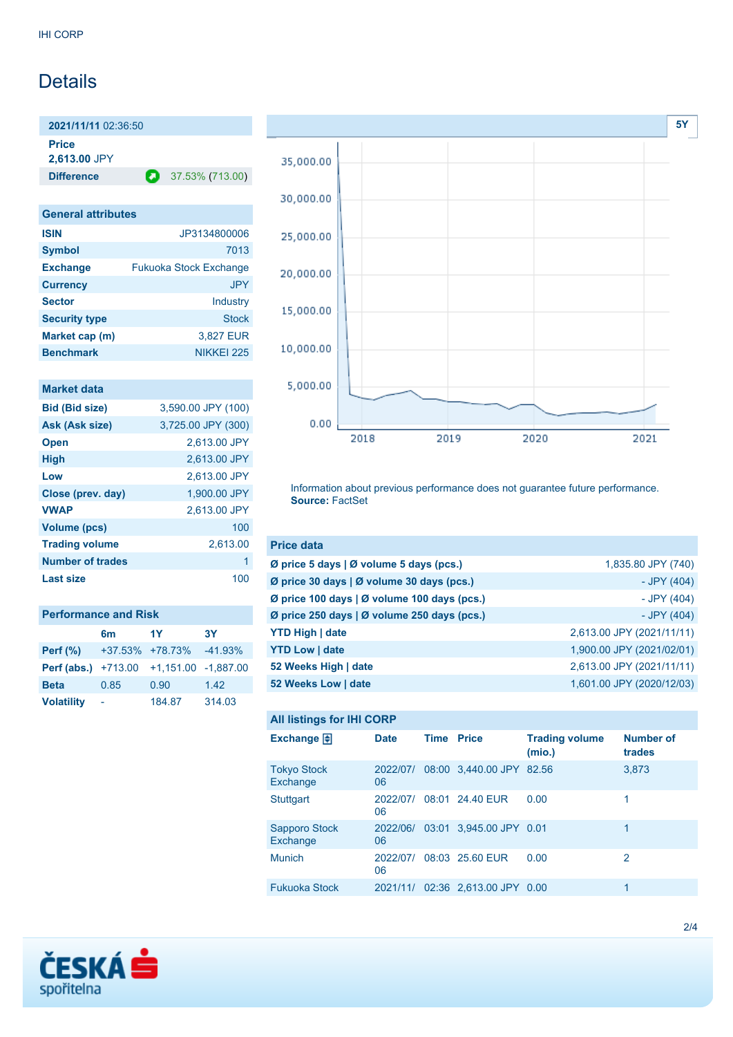## **Details**

**2021/11/11** 02:36:50 **Price**

**2,613.00** JPY

**Difference 2** 37.53% (713.00)

## **General attributes**

| <b>ISIN</b>          | JP3134800006                  |
|----------------------|-------------------------------|
| <b>Symbol</b>        | 7013                          |
| <b>Exchange</b>      | <b>Fukuoka Stock Exchange</b> |
| <b>Currency</b>      | <b>JPY</b>                    |
| <b>Sector</b>        | Industry                      |
| <b>Security type</b> | <b>Stock</b>                  |
| Market cap (m)       | 3,827 EUR                     |
| <b>Benchmark</b>     | NIKKEI 225                    |

| <b>Market data</b>    |                    |
|-----------------------|--------------------|
| <b>Bid (Bid size)</b> | 3,590.00 JPY (100) |
| <b>Ask (Ask size)</b> | 3,725.00 JPY (300) |
| <b>Open</b>           | 2,613.00 JPY       |
| <b>High</b>           | 2,613.00 JPY       |
| Low                   | 2,613.00 JPY       |
| Close (prev. day)     | 1.900.00 JPY       |
| <b>VWAP</b>           | 2,613.00 JPY       |
| Volume (pcs)          | 100                |
| <b>Trading volume</b> | 2,613.00           |
| Number of trades      | 1                  |
| Last size             | 100                |

| <b>Performance and Risk</b> |                 |             |           |  |  |  |
|-----------------------------|-----------------|-------------|-----------|--|--|--|
|                             | 6m              | 1Y          | 3Υ        |  |  |  |
| Perf $(\%)$                 | +37.53% +78.73% |             | $-41.93%$ |  |  |  |
| Perf (abs.)                 | $+713.00$       | $+1,151.00$ | -1.887.00 |  |  |  |
| <b>Beta</b>                 | 0.85            | 0.90        | 1.42      |  |  |  |
| <b>Volatility</b>           |                 | 184.87      | 314.03    |  |  |  |



Information about previous performance does not guarantee future performance. **Source:** FactSet

| <b>Price data</b>                                         |                           |
|-----------------------------------------------------------|---------------------------|
| $\emptyset$ price 5 days $\emptyset$ volume 5 days (pcs.) | 1,835.80 JPY (740)        |
| Ø price 30 days   Ø volume 30 days (pcs.)                 | - JPY (404)               |
| Ø price 100 days   Ø volume 100 days (pcs.)               | - JPY (404)               |
| Ø price 250 days $\vert$ Ø volume 250 days (pcs.)         | - JPY (404)               |
| <b>YTD High   date</b>                                    | 2,613.00 JPY (2021/11/11) |
| <b>YTD Low   date</b>                                     | 1,900.00 JPY (2021/02/01) |
| 52 Weeks High   date                                      | 2,613.00 JPY (2021/11/11) |
| 52 Weeks Low   date                                       | 1,601.00 JPY (2020/12/03) |

#### **All listings for IHI CORP**

| Exchange $\Box$                | <b>Date</b>    | Time | <b>Price</b>                      | <b>Trading volume</b><br>(mio.) | <b>Number of</b><br>trades |
|--------------------------------|----------------|------|-----------------------------------|---------------------------------|----------------------------|
| <b>Tokyo Stock</b><br>Exchange | 06             |      | 2022/07/ 08:00 3,440.00 JPY 82.56 |                                 | 3,873                      |
| <b>Stuttgart</b>               | 2022/07/<br>06 |      | 08:01 24.40 EUR                   | 0.00                            | 1                          |
| Sapporo Stock<br>Exchange      | 06             |      | 2022/06/ 03:01 3,945.00 JPY 0.01  |                                 | 1                          |
| <b>Munich</b>                  | 2022/07/<br>06 |      | 08:03 25.60 EUR                   | 0.00                            | 2                          |
| <b>Fukuoka Stock</b>           |                |      | 2021/11/ 02:36 2,613.00 JPY 0.00  |                                 | 1                          |

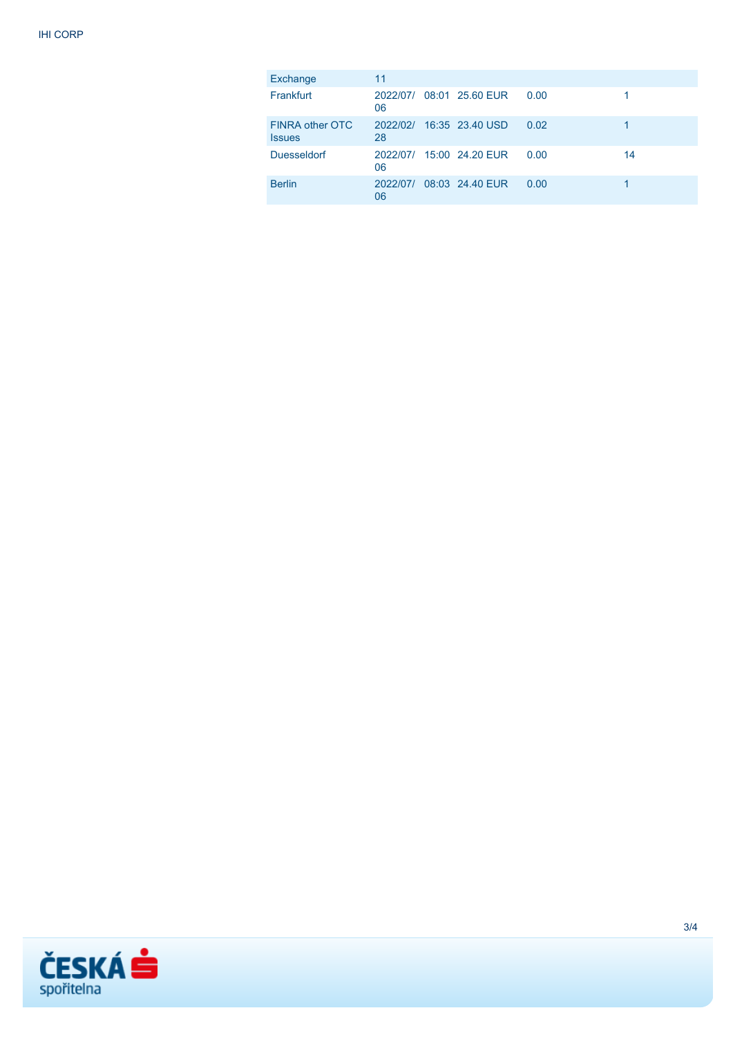| Exchange                         | 11             |                          |      |    |
|----------------------------------|----------------|--------------------------|------|----|
| Frankfurt                        | 06             | 2022/07/ 08:01 25.60 EUR | 0.00 |    |
| FINRA other OTC<br><b>Issues</b> | 28             | 2022/02/ 16:35 23.40 USD | 0.02 |    |
| <b>Duesseldorf</b>               | 06             | 2022/07/ 15:00 24.20 EUR | 0.00 | 14 |
| <b>Berlin</b>                    | 2022/07/<br>06 | 08:03 24.40 EUR          | 0.00 |    |